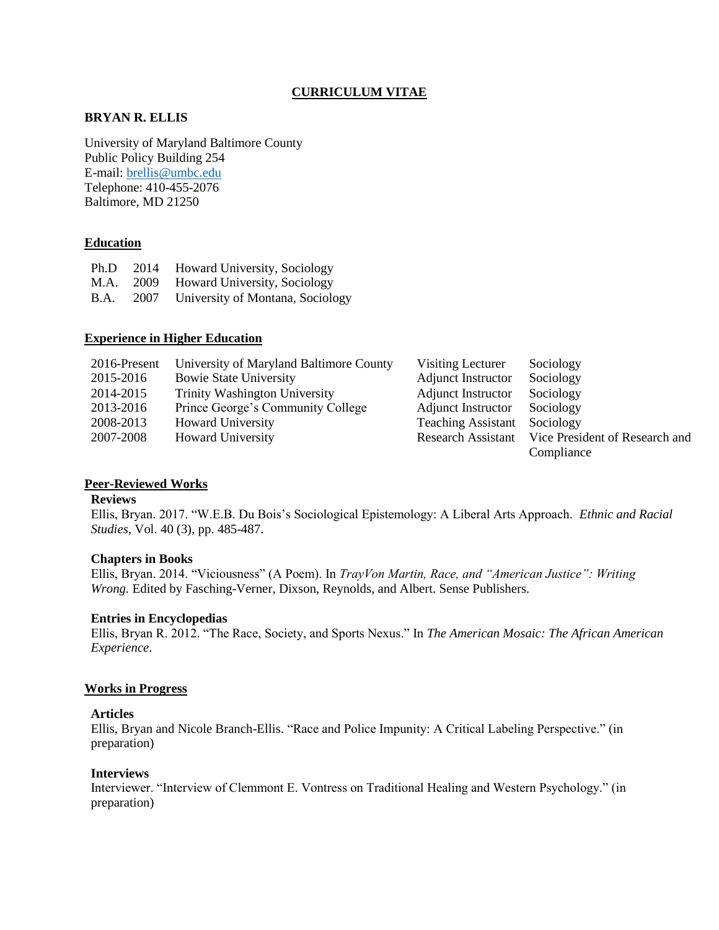# **CURRICULUM VITAE**

# **BRYAN R. ELLIS**

University of Maryland Baltimore County Public Policy Building 254 E-mail[: brellis@umbc.edu](mailto:brellis@umbc.edu) Telephone: 410-455-2076 Baltimore, MD 21250

### **Education**

|             | Ph.D 2014 Howard University, Sociology |
|-------------|----------------------------------------|
|             | M.A. 2009 Howard University, Sociology |
| <b>B.A.</b> | 2007 University of Montana, Sociology  |

### **Experience in Higher Education**

| 2016-Present | University of Maryland Baltimore County | Visiting Lecturer                   | Sociology                                         |
|--------------|-----------------------------------------|-------------------------------------|---------------------------------------------------|
| 2015-2016    | <b>Bowie State University</b>           | <b>Adjunct Instructor</b>           | Sociology                                         |
| 2014-2015    | <b>Trinity Washington University</b>    | <b>Adjunct Instructor</b>           | Sociology                                         |
| 2013-2016    | Prince George's Community College       | Adjunct Instructor Sociology        |                                                   |
| 2008-2013    | <b>Howard University</b>                | <b>Teaching Assistant</b> Sociology |                                                   |
| 2007-2008    | <b>Howard University</b>                |                                     | Research Assistant Vice President of Research and |
|              |                                         |                                     | Compliance                                        |

### **Peer-Reviewed Works**

### **Reviews**

Ellis, Bryan. 2017. "W.E.B. Du Bois's Sociological Epistemology: A Liberal Arts Approach. *Ethnic and Racial Studies*, Vol. 40 (3), pp. 485-487.

### **Chapters in Books**

Ellis, Bryan. 2014. "Viciousness" (A Poem). In *TrayVon Martin, Race, and "American Justice": Writing Wrong.* Edited by Fasching-Verner, Dixson, Reynolds, and Albert. Sense Publishers.

### **Entries in Encyclopedias**

Ellis, Bryan R. 2012. "The Race, Society, and Sports Nexus." In *The American Mosaic: The African American Experience*.

### **Works in Progress**

## **Articles**

Ellis, Bryan and Nicole Branch-Ellis. "Race and Police Impunity: A Critical Labeling Perspective." (in preparation)

#### **Interviews**

Interviewer. "Interview of Clemmont E. Vontress on Traditional Healing and Western Psychology." (in preparation)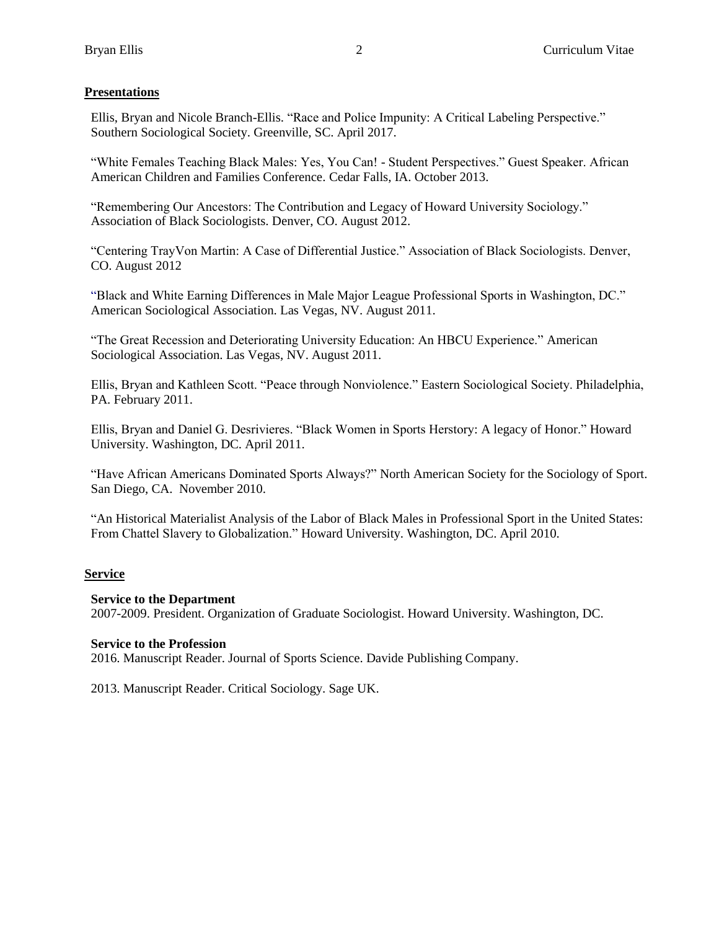# **Presentations**

Ellis, Bryan and Nicole Branch-Ellis. "Race and Police Impunity: A Critical Labeling Perspective." Southern Sociological Society. Greenville, SC. April 2017.

"White Females Teaching Black Males: Yes, You Can! - Student Perspectives." Guest Speaker. African American Children and Families Conference. Cedar Falls, IA. October 2013.

"Remembering Our Ancestors: The Contribution and Legacy of Howard University Sociology." Association of Black Sociologists. Denver, CO. August 2012.

"Centering TrayVon Martin: A Case of Differential Justice." Association of Black Sociologists. Denver, CO. August 2012

"Black and White Earning Differences in Male Major League Professional Sports in Washington, DC." American Sociological Association. Las Vegas, NV. August 2011.

"The Great Recession and Deteriorating University Education: An HBCU Experience." American Sociological Association. Las Vegas, NV. August 2011.

Ellis, Bryan and Kathleen Scott. "Peace through Nonviolence." Eastern Sociological Society. Philadelphia, PA. February 2011.

Ellis, Bryan and Daniel G. Desrivieres. "Black Women in Sports Herstory: A legacy of Honor." Howard University. Washington, DC. April 2011.

"Have African Americans Dominated Sports Always?" North American Society for the Sociology of Sport. San Diego, CA. November 2010.

"An Historical Materialist Analysis of the Labor of Black Males in Professional Sport in the United States: From Chattel Slavery to Globalization." Howard University. Washington, DC. April 2010.

# **Service**

# **Service to the Department**

2007-2009. President. Organization of Graduate Sociologist. Howard University. Washington, DC.

### **Service to the Profession**

2016. Manuscript Reader. Journal of Sports Science. Davide Publishing Company.

2013. Manuscript Reader. Critical Sociology. Sage UK.